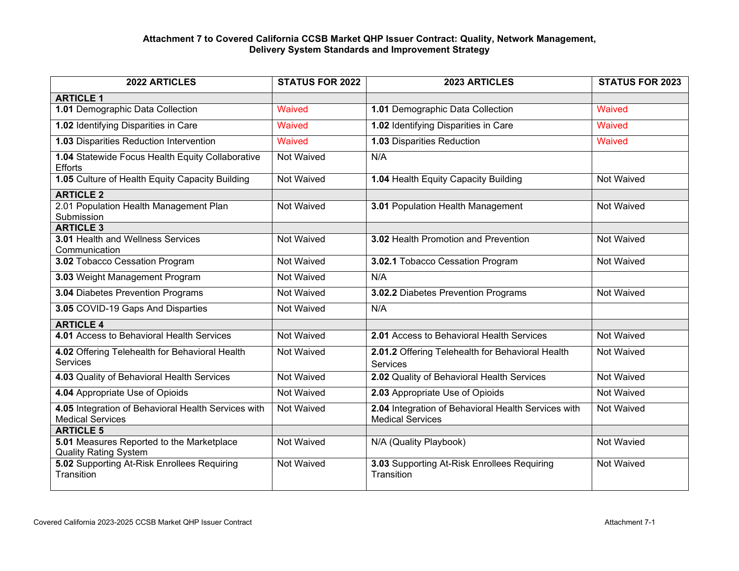## **Attachment 7 to Covered California CCSB Market QHP Issuer Contract: Quality, Network Management, Delivery System Standards and Improvement Strategy**

| 2022 ARTICLES                                                                  | <b>STATUS FOR 2022</b> | 2023 ARTICLES                                                                  | <b>STATUS FOR 2023</b> |
|--------------------------------------------------------------------------------|------------------------|--------------------------------------------------------------------------------|------------------------|
| <b>ARTICLE 1</b>                                                               |                        |                                                                                |                        |
| 1.01 Demographic Data Collection                                               | <b>Waived</b>          | 1.01 Demographic Data Collection                                               | <b>Waived</b>          |
| 1.02 Identifying Disparities in Care                                           | Waived                 | 1.02 Identifying Disparities in Care                                           | Waived                 |
| 1.03 Disparities Reduction Intervention                                        | Waived                 | 1.03 Disparities Reduction                                                     | Waived                 |
| 1.04 Statewide Focus Health Equity Collaborative<br><b>Efforts</b>             | Not Waived             | N/A                                                                            |                        |
| 1.05 Culture of Health Equity Capacity Building                                | <b>Not Waived</b>      | 1.04 Health Equity Capacity Building                                           | Not Waived             |
| <b>ARTICLE 2</b>                                                               |                        |                                                                                |                        |
| 2.01 Population Health Management Plan<br>Submission                           | Not Waived             | 3.01 Population Health Management                                              | Not Waived             |
| <b>ARTICLE 3</b>                                                               |                        |                                                                                |                        |
| 3.01 Health and Wellness Services<br>Communication                             | Not Waived             | 3.02 Health Promotion and Prevention                                           | Not Waived             |
| 3.02 Tobacco Cessation Program                                                 | Not Waived             | 3.02.1 Tobacco Cessation Program                                               | Not Waived             |
| 3.03 Weight Management Program                                                 | Not Waived             | N/A                                                                            |                        |
| 3.04 Diabetes Prevention Programs                                              | Not Waived             | 3.02.2 Diabetes Prevention Programs                                            | Not Waived             |
| 3.05 COVID-19 Gaps And Disparties                                              | Not Waived             | N/A                                                                            |                        |
| <b>ARTICLE 4</b>                                                               |                        |                                                                                |                        |
| 4.01 Access to Behavioral Health Services                                      | Not Waived             | 2.01 Access to Behavioral Health Services                                      | Not Waived             |
| 4.02 Offering Telehealth for Behavioral Health<br><b>Services</b>              | Not Waived             | 2.01.2 Offering Telehealth for Behavioral Health<br><b>Services</b>            | Not Waived             |
| 4.03 Quality of Behavioral Health Services                                     | <b>Not Waived</b>      | 2.02 Quality of Behavioral Health Services                                     | Not Waived             |
| 4.04 Appropriate Use of Opioids                                                | Not Waived             | 2.03 Appropriate Use of Opioids                                                | Not Waived             |
| 4.05 Integration of Behavioral Health Services with<br><b>Medical Services</b> | Not Waived             | 2.04 Integration of Behavioral Health Services with<br><b>Medical Services</b> | Not Waived             |
| <b>ARTICLE 5</b>                                                               |                        |                                                                                |                        |
| 5.01 Measures Reported to the Marketplace<br><b>Quality Rating System</b>      | Not Waived             | N/A (Quality Playbook)                                                         | Not Wavied             |
| 5.02 Supporting At-Risk Enrollees Requiring<br>Transition                      | Not Waived             | 3.03 Supporting At-Risk Enrollees Requiring<br>Transition                      | Not Waived             |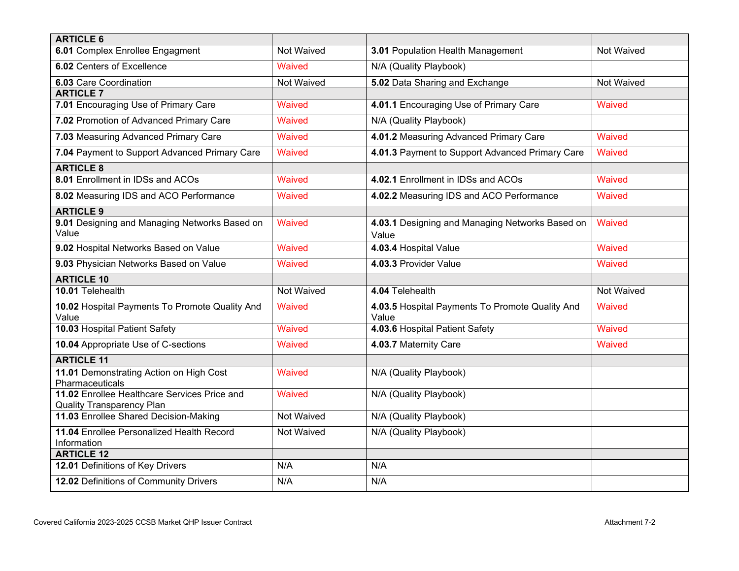| <b>ARTICLE 6</b>                                                                 |                   |                                                          |                   |
|----------------------------------------------------------------------------------|-------------------|----------------------------------------------------------|-------------------|
| 6.01 Complex Enrollee Engagment                                                  | Not Waived        | 3.01 Population Health Management                        | Not Waived        |
| 6.02 Centers of Excellence                                                       | Waived            | N/A (Quality Playbook)                                   |                   |
| 6.03 Care Coordination                                                           | Not Waived        | 5.02 Data Sharing and Exchange                           | Not Waived        |
| <b>ARTICLE 7</b>                                                                 |                   |                                                          |                   |
| 7.01 Encouraging Use of Primary Care                                             | <b>Waived</b>     | 4.01.1 Encouraging Use of Primary Care                   | Waived            |
| 7.02 Promotion of Advanced Primary Care                                          | <b>Waived</b>     | N/A (Quality Playbook)                                   |                   |
| 7.03 Measuring Advanced Primary Care                                             | Waived            | 4.01.2 Measuring Advanced Primary Care                   | Waived            |
| 7.04 Payment to Support Advanced Primary Care                                    | Waived            | 4.01.3 Payment to Support Advanced Primary Care          | Waived            |
| <b>ARTICLE 8</b>                                                                 |                   |                                                          |                   |
| 8.01 Enrollment in IDSs and ACOs                                                 | Waived            | 4.02.1 Enrollment in IDSs and ACOs                       | Waived            |
| 8.02 Measuring IDS and ACO Performance                                           | <b>Waived</b>     | 4.02.2 Measuring IDS and ACO Performance                 | Waived            |
| <b>ARTICLE 9</b>                                                                 |                   |                                                          |                   |
| 9.01 Designing and Managing Networks Based on<br>Value                           | Waived            | 4.03.1 Designing and Managing Networks Based on<br>Value | Waived            |
| 9.02 Hospital Networks Based on Value                                            | <b>Waived</b>     | 4.03.4 Hospital Value                                    | Waived            |
| 9.03 Physician Networks Based on Value                                           | <b>Waived</b>     | 4.03.3 Provider Value                                    | Waived            |
| <b>ARTICLE 10</b>                                                                |                   |                                                          |                   |
| 10.01 Telehealth                                                                 | <b>Not Waived</b> | 4.04 Telehealth                                          | <b>Not Waived</b> |
| 10.02 Hospital Payments To Promote Quality And<br>Value                          | Waived            | 4.03.5 Hospital Payments To Promote Quality And<br>Value | Waived            |
| 10.03 Hospital Patient Safety                                                    | <b>Waived</b>     | 4.03.6 Hospital Patient Safety                           | Waived            |
| 10.04 Appropriate Use of C-sections                                              | Waived            | 4.03.7 Maternity Care                                    | Waived            |
| <b>ARTICLE 11</b>                                                                |                   |                                                          |                   |
| 11.01 Demonstrating Action on High Cost<br>Pharmaceuticals                       | Waived            | N/A (Quality Playbook)                                   |                   |
| 11.02 Enrollee Healthcare Services Price and<br><b>Quality Transparency Plan</b> | Waived            | N/A (Quality Playbook)                                   |                   |
| 11.03 Enrollee Shared Decision-Making                                            | <b>Not Waived</b> | N/A (Quality Playbook)                                   |                   |
| 11.04 Enrollee Personalized Health Record<br>Information                         | Not Waived        | N/A (Quality Playbook)                                   |                   |
| <b>ARTICLE 12</b>                                                                |                   |                                                          |                   |
| 12.01 Definitions of Key Drivers                                                 | N/A               | N/A                                                      |                   |
| 12.02 Definitions of Community Drivers                                           | N/A               | N/A                                                      |                   |